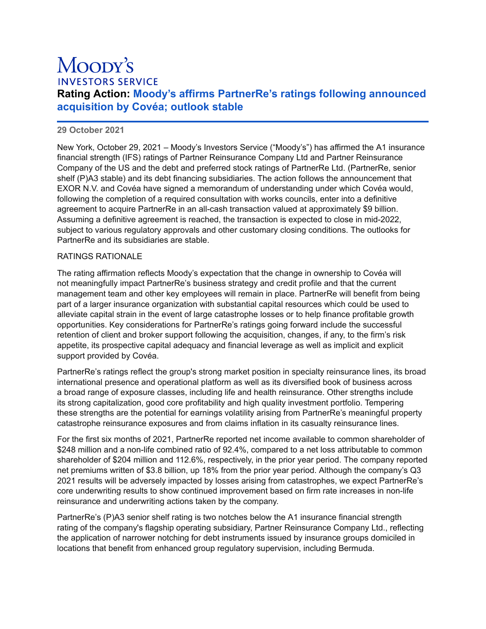# Moody's **INVESTORS SERVICE**

# **Rating Action: Moody's affirms PartnerRe's ratings following announced acquisition by Covéa; outlook stable**

## **29 October 2021**

New York, October 29, 2021 – Moody's Investors Service ("Moody's") has affirmed the A1 insurance financial strength (IFS) ratings of Partner Reinsurance Company Ltd and Partner Reinsurance Company of the US and the debt and preferred stock ratings of PartnerRe Ltd. (PartnerRe, senior shelf (P)A3 stable) and its debt financing subsidiaries. The action follows the announcement that EXOR N.V. and Covéa have signed a memorandum of understanding under which Covéa would, following the completion of a required consultation with works councils, enter into a definitive agreement to acquire PartnerRe in an all-cash transaction valued at approximately \$9 billion. Assuming a definitive agreement is reached, the transaction is expected to close in mid-2022, subject to various regulatory approvals and other customary closing conditions. The outlooks for PartnerRe and its subsidiaries are stable.

#### RATINGS RATIONALE

The rating affirmation reflects Moody's expectation that the change in ownership to Covéa will not meaningfully impact PartnerRe's business strategy and credit profile and that the current management team and other key employees will remain in place. PartnerRe will benefit from being part of a larger insurance organization with substantial capital resources which could be used to alleviate capital strain in the event of large catastrophe losses or to help finance profitable growth opportunities. Key considerations for PartnerRe's ratings going forward include the successful retention of client and broker support following the acquisition, changes, if any, to the firm's risk appetite, its prospective capital adequacy and financial leverage as well as implicit and explicit support provided by Covéa.

PartnerRe's ratings reflect the group's strong market position in specialty reinsurance lines, its broad international presence and operational platform as well as its diversified book of business across a broad range of exposure classes, including life and health reinsurance. Other strengths include its strong capitalization, good core profitability and high quality investment portfolio. Tempering these strengths are the potential for earnings volatility arising from PartnerRe's meaningful property catastrophe reinsurance exposures and from claims inflation in its casualty reinsurance lines.

For the first six months of 2021, PartnerRe reported net income available to common shareholder of \$248 million and a non-life combined ratio of 92.4%, compared to a net loss attributable to common shareholder of \$204 million and 112.6%, respectively, in the prior year period. The company reported net premiums written of \$3.8 billion, up 18% from the prior year period. Although the company's Q3 2021 results will be adversely impacted by losses arising from catastrophes, we expect PartnerRe's core underwriting results to show continued improvement based on firm rate increases in non-life reinsurance and underwriting actions taken by the company.

PartnerRe's (P)A3 senior shelf rating is two notches below the A1 insurance financial strength rating of the company's flagship operating subsidiary, Partner Reinsurance Company Ltd., reflecting the application of narrower notching for debt instruments issued by insurance groups domiciled in locations that benefit from enhanced group regulatory supervision, including Bermuda.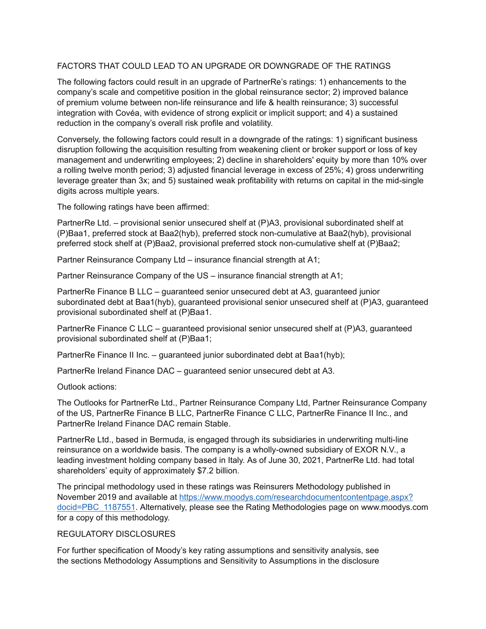### FACTORS THAT COULD LEAD TO AN UPGRADE OR DOWNGRADE OF THE RATINGS

The following factors could result in an upgrade of PartnerRe's ratings: 1) enhancements to the company's scale and competitive position in the global reinsurance sector; 2) improved balance of premium volume between non-life reinsurance and life & health reinsurance; 3) successful integration with Covéa, with evidence of strong explicit or implicit support; and 4) a sustained reduction in the company's overall risk profile and volatility.

Conversely, the following factors could result in a downgrade of the ratings: 1) significant business disruption following the acquisition resulting from weakening client or broker support or loss of key management and underwriting employees; 2) decline in shareholders' equity by more than 10% over a rolling twelve month period; 3) adjusted financial leverage in excess of 25%; 4) gross underwriting leverage greater than 3x; and 5) sustained weak profitability with returns on capital in the mid-single digits across multiple years.

The following ratings have been affirmed:

PartnerRe Ltd. – provisional senior unsecured shelf at (P)A3, provisional subordinated shelf at (P)Baa1, preferred stock at Baa2(hyb), preferred stock non-cumulative at Baa2(hyb), provisional preferred stock shelf at (P)Baa2, provisional preferred stock non-cumulative shelf at (P)Baa2;

Partner Reinsurance Company Ltd – insurance financial strength at A1;

Partner Reinsurance Company of the US – insurance financial strength at A1;

PartnerRe Finance B LLC – guaranteed senior unsecured debt at A3, guaranteed junior subordinated debt at Baa1(hyb), guaranteed provisional senior unsecured shelf at (P)A3, guaranteed provisional subordinated shelf at (P)Baa1.

PartnerRe Finance C LLC – guaranteed provisional senior unsecured shelf at (P)A3, guaranteed provisional subordinated shelf at (P)Baa1;

PartnerRe Finance II Inc. – guaranteed junior subordinated debt at Baa1(hyb);

PartnerRe Ireland Finance DAC – guaranteed senior unsecured debt at A3.

Outlook actions:

The Outlooks for PartnerRe Ltd., Partner Reinsurance Company Ltd, Partner Reinsurance Company of the US, PartnerRe Finance B LLC, PartnerRe Finance C LLC, PartnerRe Finance II Inc., and PartnerRe Ireland Finance DAC remain Stable.

PartnerRe Ltd., based in Bermuda, is engaged through its subsidiaries in underwriting multi-line reinsurance on a worldwide basis. The company is a wholly-owned subsidiary of EXOR N.V., a leading investment holding company based in Italy. As of June 30, 2021, PartnerRe Ltd. had total shareholders' equity of approximately \$7.2 billion.

The principal methodology used in these ratings was Reinsurers Methodology published in November 2019 and available at [https://www.moodys.com/researchdocumentcontentpage.aspx?](https://www.moodys.com/researchdocumentcontentpage.aspx?docid=PBC_1187551) [docid=PBC\\_1187551.](https://www.moodys.com/researchdocumentcontentpage.aspx?docid=PBC_1187551) Alternatively, please see the Rating Methodologies page on www.moodys.com for a copy of this methodology.

#### REGULATORY DISCLOSURES

For further specification of Moody's key rating assumptions and sensitivity analysis, see the sections Methodology Assumptions and Sensitivity to Assumptions in the disclosure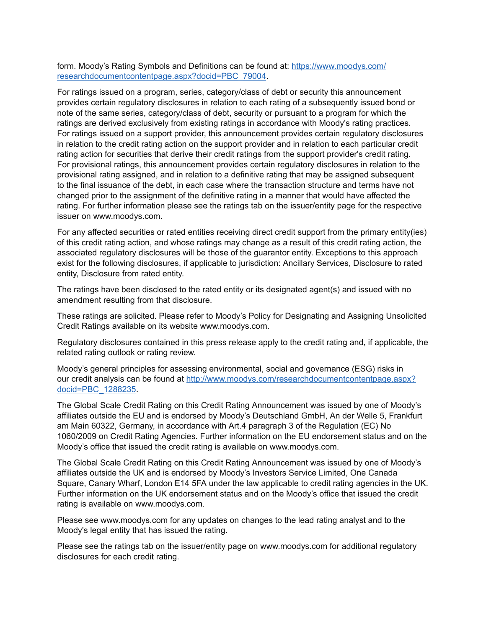form. Moody's Rating Symbols and Definitions can be found at: [https://www.moodys.com/](https://www.moodys.com/researchdocumentcontentpage.aspx?docid=PBC_79004) [researchdocumentcontentpage.aspx?docid=PBC\\_79004](https://www.moodys.com/researchdocumentcontentpage.aspx?docid=PBC_79004).

For ratings issued on a program, series, category/class of debt or security this announcement provides certain regulatory disclosures in relation to each rating of a subsequently issued bond or note of the same series, category/class of debt, security or pursuant to a program for which the ratings are derived exclusively from existing ratings in accordance with Moody's rating practices. For ratings issued on a support provider, this announcement provides certain regulatory disclosures in relation to the credit rating action on the support provider and in relation to each particular credit rating action for securities that derive their credit ratings from the support provider's credit rating. For provisional ratings, this announcement provides certain regulatory disclosures in relation to the provisional rating assigned, and in relation to a definitive rating that may be assigned subsequent to the final issuance of the debt, in each case where the transaction structure and terms have not changed prior to the assignment of the definitive rating in a manner that would have affected the rating. For further information please see the ratings tab on the issuer/entity page for the respective issuer on www.moodys.com.

For any affected securities or rated entities receiving direct credit support from the primary entity(ies) of this credit rating action, and whose ratings may change as a result of this credit rating action, the associated regulatory disclosures will be those of the guarantor entity. Exceptions to this approach exist for the following disclosures, if applicable to jurisdiction: Ancillary Services, Disclosure to rated entity, Disclosure from rated entity.

The ratings have been disclosed to the rated entity or its designated agent(s) and issued with no amendment resulting from that disclosure.

These ratings are solicited. Please refer to Moody's Policy for Designating and Assigning Unsolicited Credit Ratings available on its website www.moodys.com.

Regulatory disclosures contained in this press release apply to the credit rating and, if applicable, the related rating outlook or rating review.

Moody's general principles for assessing environmental, social and governance (ESG) risks in our credit analysis can be found at [http://www.moodys.com/researchdocumentcontentpage.aspx?](http://www.moodys.com/researchdocumentcontentpage.aspx?docid=PBC_1288235) [docid=PBC\\_1288235](http://www.moodys.com/researchdocumentcontentpage.aspx?docid=PBC_1288235).

The Global Scale Credit Rating on this Credit Rating Announcement was issued by one of Moody's affiliates outside the EU and is endorsed by Moody's Deutschland GmbH, An der Welle 5, Frankfurt am Main 60322, Germany, in accordance with Art.4 paragraph 3 of the Regulation (EC) No 1060/2009 on Credit Rating Agencies. Further information on the EU endorsement status and on the Moody's office that issued the credit rating is available on www.moodys.com.

The Global Scale Credit Rating on this Credit Rating Announcement was issued by one of Moody's affiliates outside the UK and is endorsed by Moody's Investors Service Limited, One Canada Square, Canary Wharf, London E14 5FA under the law applicable to credit rating agencies in the UK. Further information on the UK endorsement status and on the Moody's office that issued the credit rating is available on www.moodys.com.

Please see www.moodys.com for any updates on changes to the lead rating analyst and to the Moody's legal entity that has issued the rating.

Please see the ratings tab on the issuer/entity page on www.moodys.com for additional regulatory disclosures for each credit rating.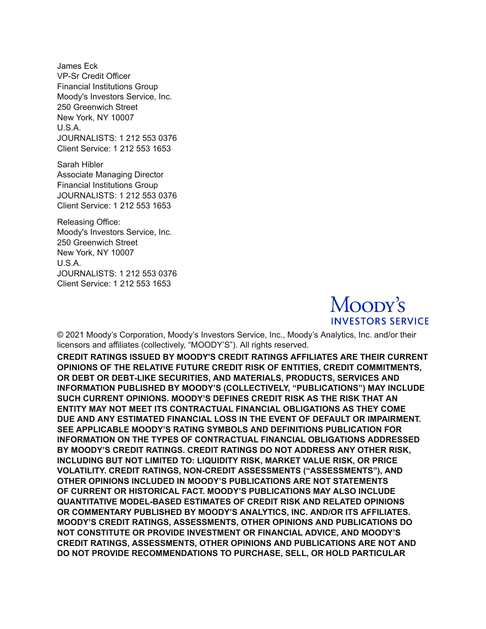James Eck VP-Sr Credit Officer Financial Institutions Group Moody's Investors Service, Inc. 250 Greenwich Street New York, NY 10007 U.S.A. JOURNALISTS: 1 212 553 0376 Client Service: 1 212 553 1653

Sarah Hibler Associate Managing Director Financial Institutions Group JOURNALISTS: 1 212 553 0376 Client Service: 1 212 553 1653

Releasing Office: Moody's Investors Service, Inc. 250 Greenwich Street New York, NY 10007 U.S.A. JOURNALISTS: 1 212 553 0376 Client Service: 1 212 553 1653



© 2021 Moody's Corporation, Moody's Investors Service, Inc., Moody's Analytics, Inc. and/or their licensors and affiliates (collectively, "MOODY'S"). All rights reserved.

**CREDIT RATINGS ISSUED BY MOODY'S CREDIT RATINGS AFFILIATES ARE THEIR CURRENT OPINIONS OF THE RELATIVE FUTURE CREDIT RISK OF ENTITIES, CREDIT COMMITMENTS, OR DEBT OR DEBT-LIKE SECURITIES, AND MATERIALS, PRODUCTS, SERVICES AND INFORMATION PUBLISHED BY MOODY'S (COLLECTIVELY, "PUBLICATIONS") MAY INCLUDE SUCH CURRENT OPINIONS. MOODY'S DEFINES CREDIT RISK AS THE RISK THAT AN ENTITY MAY NOT MEET ITS CONTRACTUAL FINANCIAL OBLIGATIONS AS THEY COME DUE AND ANY ESTIMATED FINANCIAL LOSS IN THE EVENT OF DEFAULT OR IMPAIRMENT. SEE APPLICABLE MOODY'S RATING SYMBOLS AND DEFINITIONS PUBLICATION FOR INFORMATION ON THE TYPES OF CONTRACTUAL FINANCIAL OBLIGATIONS ADDRESSED BY MOODY'S CREDIT RATINGS. CREDIT RATINGS DO NOT ADDRESS ANY OTHER RISK, INCLUDING BUT NOT LIMITED TO: LIQUIDITY RISK, MARKET VALUE RISK, OR PRICE VOLATILITY. CREDIT RATINGS, NON-CREDIT ASSESSMENTS ("ASSESSMENTS"), AND OTHER OPINIONS INCLUDED IN MOODY'S PUBLICATIONS ARE NOT STATEMENTS OF CURRENT OR HISTORICAL FACT. MOODY'S PUBLICATIONS MAY ALSO INCLUDE QUANTITATIVE MODEL-BASED ESTIMATES OF CREDIT RISK AND RELATED OPINIONS OR COMMENTARY PUBLISHED BY MOODY'S ANALYTICS, INC. AND/OR ITS AFFILIATES. MOODY'S CREDIT RATINGS, ASSESSMENTS, OTHER OPINIONS AND PUBLICATIONS DO NOT CONSTITUTE OR PROVIDE INVESTMENT OR FINANCIAL ADVICE, AND MOODY'S CREDIT RATINGS, ASSESSMENTS, OTHER OPINIONS AND PUBLICATIONS ARE NOT AND DO NOT PROVIDE RECOMMENDATIONS TO PURCHASE, SELL, OR HOLD PARTICULAR**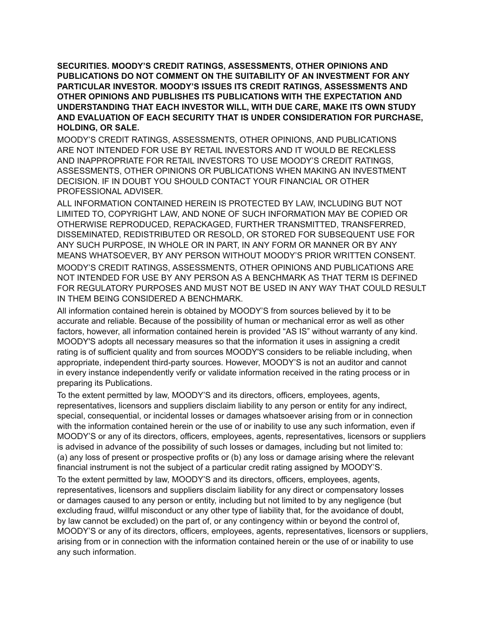**SECURITIES. MOODY'S CREDIT RATINGS, ASSESSMENTS, OTHER OPINIONS AND PUBLICATIONS DO NOT COMMENT ON THE SUITABILITY OF AN INVESTMENT FOR ANY PARTICULAR INVESTOR. MOODY'S ISSUES ITS CREDIT RATINGS, ASSESSMENTS AND OTHER OPINIONS AND PUBLISHES ITS PUBLICATIONS WITH THE EXPECTATION AND UNDERSTANDING THAT EACH INVESTOR WILL, WITH DUE CARE, MAKE ITS OWN STUDY AND EVALUATION OF EACH SECURITY THAT IS UNDER CONSIDERATION FOR PURCHASE, HOLDING, OR SALE.**

MOODY'S CREDIT RATINGS, ASSESSMENTS, OTHER OPINIONS, AND PUBLICATIONS ARE NOT INTENDED FOR USE BY RETAIL INVESTORS AND IT WOULD BE RECKLESS AND INAPPROPRIATE FOR RETAIL INVESTORS TO USE MOODY'S CREDIT RATINGS, ASSESSMENTS, OTHER OPINIONS OR PUBLICATIONS WHEN MAKING AN INVESTMENT DECISION. IF IN DOUBT YOU SHOULD CONTACT YOUR FINANCIAL OR OTHER PROFESSIONAL ADVISER.

ALL INFORMATION CONTAINED HEREIN IS PROTECTED BY LAW, INCLUDING BUT NOT LIMITED TO, COPYRIGHT LAW, AND NONE OF SUCH INFORMATION MAY BE COPIED OR OTHERWISE REPRODUCED, REPACKAGED, FURTHER TRANSMITTED, TRANSFERRED, DISSEMINATED, REDISTRIBUTED OR RESOLD, OR STORED FOR SUBSEQUENT USE FOR ANY SUCH PURPOSE, IN WHOLE OR IN PART, IN ANY FORM OR MANNER OR BY ANY MEANS WHATSOEVER, BY ANY PERSON WITHOUT MOODY'S PRIOR WRITTEN CONSENT. MOODY'S CREDIT RATINGS, ASSESSMENTS, OTHER OPINIONS AND PUBLICATIONS ARE NOT INTENDED FOR USE BY ANY PERSON AS A BENCHMARK AS THAT TERM IS DEFINED FOR REGULATORY PURPOSES AND MUST NOT BE USED IN ANY WAY THAT COULD RESULT IN THEM BEING CONSIDERED A BENCHMARK.

All information contained herein is obtained by MOODY'S from sources believed by it to be accurate and reliable. Because of the possibility of human or mechanical error as well as other factors, however, all information contained herein is provided "AS IS" without warranty of any kind. MOODY'S adopts all necessary measures so that the information it uses in assigning a credit rating is of sufficient quality and from sources MOODY'S considers to be reliable including, when appropriate, independent third-party sources. However, MOODY'S is not an auditor and cannot in every instance independently verify or validate information received in the rating process or in preparing its Publications.

To the extent permitted by law, MOODY'S and its directors, officers, employees, agents, representatives, licensors and suppliers disclaim liability to any person or entity for any indirect, special, consequential, or incidental losses or damages whatsoever arising from or in connection with the information contained herein or the use of or inability to use any such information, even if MOODY'S or any of its directors, officers, employees, agents, representatives, licensors or suppliers is advised in advance of the possibility of such losses or damages, including but not limited to: (a) any loss of present or prospective profits or (b) any loss or damage arising where the relevant financial instrument is not the subject of a particular credit rating assigned by MOODY'S.

To the extent permitted by law, MOODY'S and its directors, officers, employees, agents, representatives, licensors and suppliers disclaim liability for any direct or compensatory losses or damages caused to any person or entity, including but not limited to by any negligence (but excluding fraud, willful misconduct or any other type of liability that, for the avoidance of doubt, by law cannot be excluded) on the part of, or any contingency within or beyond the control of, MOODY'S or any of its directors, officers, employees, agents, representatives, licensors or suppliers, arising from or in connection with the information contained herein or the use of or inability to use any such information.